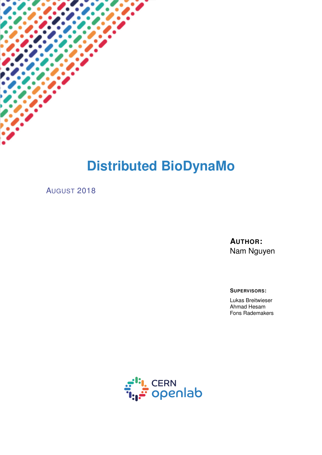

AUGUST 2018

**AUTHOR:** Nam Nguyen

**SUPERVISORS:**

Lukas Breitwieser Ahmad Hesam Fons Rademakers

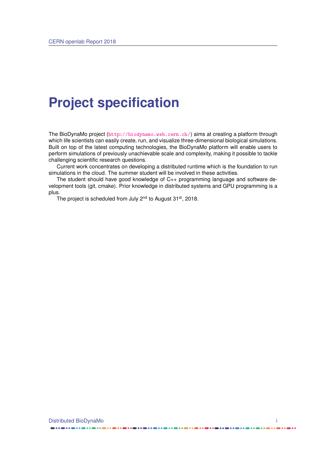## **Project specification**

The BioDynaMo project (<http://biodynamo.web.cern.ch/>) aims at creating a platform through which life scientists can easily create, run, and visualize three-dimensional biological simulations. Built on top of the latest computing technologies, the BioDynaMo platform will enable users to perform simulations of previously unachievable scale and complexity, making it possible to tackle challenging scientific research questions.

Current work concentrates on developing a distributed runtime which is the foundation to run simulations in the cloud. The summer student will be involved in these activities.

The student should have good knowledge of C++ programming language and software development tools (git, cmake). Prior knowledge in distributed systems and GPU programming is a plus.

The project is scheduled from July 2<sup>nd</sup> to August 31<sup>st</sup>, 2018.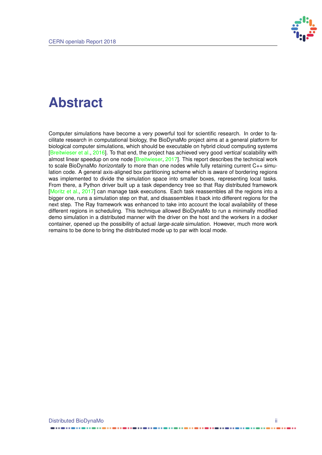

## **Abstract**

Computer simulations have become a very powerful tool for scientific research. In order to facilitate research in computational biology, the BioDynaMo project aims at a general platform for biological computer simulations, which should be executable on hybrid cloud computing systems [\[Breitwieser et al.,](#page-12-0) [2016\]](#page-12-0). To that end, the project has achieved very good *vertical* scalability with almost linear speedup on one node [\[Breitwieser,](#page-12-1) [2017\]](#page-12-1). This report describes the technical work to scale BioDynaMo *horizontally* to more than one nodes while fully retaining current C++ simulation code. A general axis-aligned box partitioning scheme which is aware of bordering regions was implemented to divide the simulation space into smaller boxes, representing local tasks. From there, a Python driver built up a task dependency tree so that Ray distributed framework [\[Moritz et al.,](#page-12-2) [2017\]](#page-12-2) can manage task executions. Each task reassembles all the regions into a bigger one, runs a simulation step on that, and disassembles it back into different regions for the next step. The Ray framework was enhanced to take into account the local availability of these different regions in scheduling. This technique allowed BioDynaMo to run a minimally modified demo simulation in a distributed manner with the driver on the host and the workers in a docker container, opened up the possibility of actual *large-scale* simulation. However, much more work remains to be done to bring the distributed mode up to par with local mode.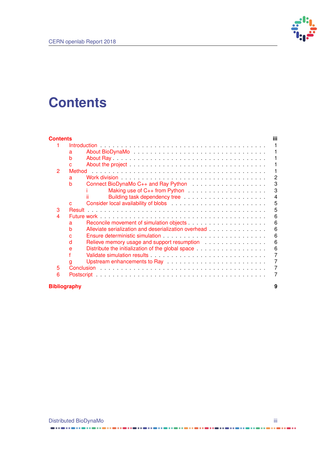

## <span id="page-3-0"></span>**Contents**

| <b>Contents</b>     |                                                                                                                                                                                                                                     | iii            |
|---------------------|-------------------------------------------------------------------------------------------------------------------------------------------------------------------------------------------------------------------------------------|----------------|
|                     |                                                                                                                                                                                                                                     |                |
|                     | a                                                                                                                                                                                                                                   |                |
|                     | b                                                                                                                                                                                                                                   |                |
|                     | C.                                                                                                                                                                                                                                  |                |
| 2                   | Method                                                                                                                                                                                                                              |                |
|                     | a                                                                                                                                                                                                                                   | $\overline{2}$ |
|                     | b                                                                                                                                                                                                                                   | 3              |
|                     |                                                                                                                                                                                                                                     | 3              |
|                     |                                                                                                                                                                                                                                     | $\overline{4}$ |
|                     | C.                                                                                                                                                                                                                                  | 5              |
| 3                   | <b>Result</b>                                                                                                                                                                                                                       | 5              |
| 4                   |                                                                                                                                                                                                                                     | 6              |
|                     | a                                                                                                                                                                                                                                   | 6              |
|                     | Alleviate serialization and deserialization overhead entitled and serial results.<br>b                                                                                                                                              | 6              |
|                     | Ensure deterministic simulation enterprise in the case of the state of the state of the state of the state of the state of the state of the state of the state of the state of the state of the state of the state of the stat<br>C | 6              |
|                     | Relieve memory usage and support resumption entitled and such a series and support resumption<br>d                                                                                                                                  | 6              |
|                     | e                                                                                                                                                                                                                                   | 6              |
|                     |                                                                                                                                                                                                                                     | $\overline{7}$ |
|                     |                                                                                                                                                                                                                                     | $\overline{7}$ |
| 5                   | Upstream enhancements to Ray enter the state of the state of the state of the Upstream enhancements to Ray<br>g                                                                                                                     | $\overline{7}$ |
|                     |                                                                                                                                                                                                                                     |                |
| 6                   |                                                                                                                                                                                                                                     | 7              |
| <b>Bibliography</b> |                                                                                                                                                                                                                                     | 9              |

................

....

------------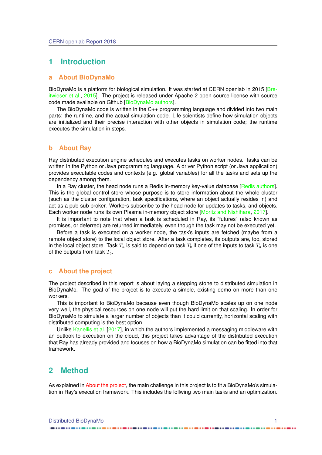### <span id="page-4-0"></span>**1 Introduction**

#### <span id="page-4-1"></span>**a About BioDynaMo**

BioDynaMo is a platform for biological simulation. It was started at CERN openlab in 2015 [\[Bre](#page-12-4)[itwieser et al.,](#page-12-4) [2015\]](#page-12-4). The project is released under Apache 2 open source license with source code made available on Github [\[BioDynaMo authors\]](#page-12-5).

The BioDynaMo code is written in the C++ programming language and divided into two main parts: the runtime, and the actual simulation code. Life scientists define how simulation objects are initialized and their precise interaction with other objects in simulation code; the runtime executes the simulation in steps.

#### <span id="page-4-2"></span>**b About Ray**

Ray distributed execution engine schedules and executes tasks on worker nodes. Tasks can be written in the Python or Java programming language. A driver Python script (or Java application) provides executable codes and contexts (e.g. global variables) for all the tasks and sets up the dependency among them.

In a Ray cluster, the head node runs a Redis in-memory key-value database [\[Redis authors\]](#page-12-6). This is the global control store whose purpose is to store information about the whole cluster (such as the cluster configuration, task specifications, where an object actually resides in) and act as a pub-sub broker. Workers subscribe to the head node for updates to tasks, and objects. Each worker node runs its own Plasma in-memory object store [\[Moritz and Nishihara,](#page-12-7) [2017\]](#page-12-7).

It is important to note that when a task is scheduled in Ray, its "futures" (also known as promises, or deferred) are returned immediately, even though the task may not be executed yet.

Before a task is executed on a worker node, the task's inputs are fetched (maybe from a remote object store) to the local object store. After a task completes, its outputs are, too, stored in the local object store. Task  $T_a$  is said to depend on task  $T_b$  if one of the inputs to task  $T_a$  is one of the outputs from task  $T<sub>b</sub>$ .

### <span id="page-4-3"></span>**c About the project**

The project described in this report is about laying a stepping stone to distributed simulation in BioDynaMo. The goal of the project is to execute a simple, existing demo on more than one workers.

This is important to BioDynaMo because even though BioDynaMo scales up on one node very well, the physical resources on one node will put the hard limit on that scaling. In order for BioDynaMo to simulate a larger number of objects than it could currently, horizontal scaling with distributed computing is the best option.

Unlike [Kanellis et al.](#page-12-8) [\[2017\]](#page-12-8), in which the authors implemented a messaging middleware with an outlook to execution on the cloud, this project takes advantage of the distributed execution that Ray has already provided and focuses on how a BioDynaMo simulation can be fitted into that framework.

### <span id="page-4-4"></span>**2 Method**

<span id="page-4-5"></span>As explained in [About the project,](#page-4-3) the main challenge in this project is to fit a BioDynaMo's simulation in Ray's execution framework. This includes the follwing two main tasks and an optimization.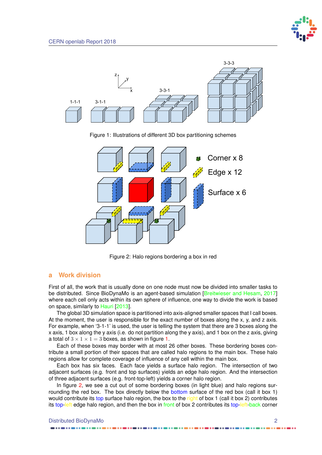

<span id="page-5-0"></span>

Figure 1: Illustrations of different 3D box partitioning schemes

<span id="page-5-1"></span>

Figure 2: Halo regions bordering a box in red

### **a Work division**

First of all, the work that is usually done on one node must now be divided into smaller tasks to be distributed. Since BioDynaMo is an agent-based simulation [\[Breitwieser and Hesam,](#page-12-9) [2017\]](#page-12-9) where each cell only acts within its own sphere of influence, one way to divide the work is based on space, similarly to [Hauri](#page-12-10) [\[2013\]](#page-12-10).

The global 3D simulation space is partitioned into axis-aligned smaller spaces that I call boxes. At the moment, the user is responsible for the exact number of boxes along the x, y, and z axis. For example, when '3-1-1' is used, the user is telling the system that there are 3 boxes along the x axis, 1 box along the y axis (i.e. do not partition along the y axis), and 1 box on the z axis, giving a total of  $3 \times 1 \times 1 = 3$  boxes, as shown in figure [1.](#page-5-0)

Each of these boxes may border with at most 26 other boxes. These bordering boxes contribute a small portion of their spaces that are called halo regions to the main box. These halo regions allow for complete coverage of influence of any cell within the main box.

Each box has six faces. Each face yields a surface halo region. The intersection of two adjacent surfaces (e.g. front and top surfaces) yields an edge halo region. And the intersection of three adjacent surfaces (e.g. front-top-left) yields a corner halo region.

In figure [2,](#page-5-1) we see a cut out of some bordering boxes (in light blue) and halo regions surrounding the red box. The box directly below the bottom surface of the red box (call it box 1) would contribute its top surface halo region, the box to the right of box 1 (call it box 2) contributes its top-left edge halo region, and then the box in front of box 2 contributes its top-left-back corner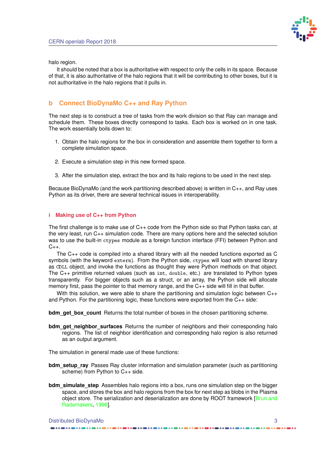

halo region.

It should be noted that a box is authoritative with respect to only the cells in its space. Because of that, it is also authoritative of the halo regions that it will be contributing to other boxes, but it is not authoritative in the halo regions that it pulls in.

### <span id="page-6-0"></span>**b Connect BioDynaMo C++ and Ray Python**

The next step is to construct a tree of tasks from the work division so that Ray can manage and schedule them. These boxes directly correspond to tasks. Each box is worked on in one task. The work essentially boils down to:

- 1. Obtain the halo regions for the box in consideration and assemble them together to form a complete simulation space.
- 2. Execute a simulation step in this new formed space.
- 3. After the simulation step, extract the box and its halo regions to be used in the next step.

Because BioDynaMo (and the work partitioning described above) is written in C++, and Ray uses Python as its driver, there are several technical issues in interoperability.

#### <span id="page-6-1"></span>**i Making use of C++ from Python**

The first challenge is to make use of  $C_{++}$  code from the Python side so that Python tasks can, at the very least, run C++ simulation code. There are many options here and the selected solution was to use the built-in ctypes module as a foreign function interface (FFI) between Python and  $C_{++}$ .

The C++ code is compiled into a shared library with all the needed functions exported as C symbols (with the keyword extern). From the Python side, ctypes will load with shared library as CDLL object, and invoke the functions as thought they were Python methods on that object. The C++ primitive returned values (such as int, double, etc.) are translated to Python types transparently. For bigger objects such as a struct, or an array, the Python side will allocate memory first, pass the pointer to that memory range, and the C++ side will fill in that buffer.

With this solution, we were able to share the partitioning and simulation logic between C++ and Python. For the partitioning logic, these functions were exported from the  $C_{++}$  side:

**bdm\_get\_box\_count** Returns the total number of boxes in the chosen partitioning scheme.

**bdm** get neighbor surfaces Returns the number of neighbors and their corresponding halo regions. The list of neighbor identification and corresponding halo region is also returned as an output argument.

The simulation in general made use of these functions:

- **bdm\_setup\_ray** Passes Ray cluster information and simulation parameter (such as partitioning scheme) from Python to C++ side.
- **bdm** simulate step Assembles halo regions into a box, runs one simulation step on the bigger space, and stores the box and halo regions from the box for next step as blobs in the Plasma object store. The serialization and deserialization are done by ROOT framework [\[Brun and](#page-12-11) [Rademakers,](#page-12-11) [1996\]](#page-12-11).

### Distributed BioDynaMo 3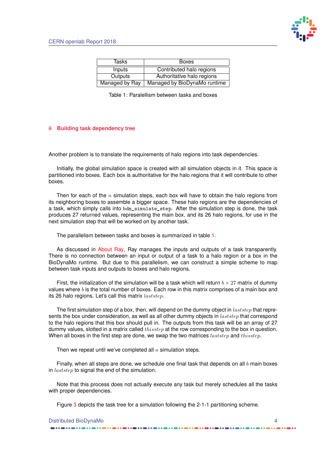

<span id="page-7-1"></span>

| Tasks          | <b>Boxes</b>                 |
|----------------|------------------------------|
| Inputs         | Contributed halo regions     |
| Outputs        | Authoritative halo regions   |
| Managed by Ray | Managed by BioDynaMo runtime |

Table 1: Paralellism between tasks and boxes

#### <span id="page-7-0"></span>**ii Building task dependency tree**

Another problem is to translate the requirements of halo regions into task dependencies.

Initially, the global simulation space is created with all simulation objects in it. This space is partitioned into boxes. Each box is authoritative for the halo regions that it will contribute to other boxes.

Then for each of the  $n$  simulation steps, each box will have to obtain the halo regions from its neighboring boxes to assemble a bigger space. These halo regions are the dependencies of a task, which simply calls into bdm\_simulate\_step. After the simulation step is done, the task produces 27 returned values, representing the main box, and its 26 halo regions, for use in the next simulation step that will be worked on by another task.

The parallelism between tasks and boxes is summarized in table [1.](#page-7-1)

As discussed in [About Ray,](#page-4-2) Ray manages the inputs and outputs of a task transparently. There is no connection between an input or output of a task to a halo region or a box in the BioDynaMo runtime. But due to this parallelism, we can construct a simple scheme to map between task inputs and outputs to boxes and halo regions.

First, the initialization of the simulation will be a task which will return  $b \times 27$  matrix of dummy values where  $b$  is the total number of boxes. Each row in this matrix comprises of a main box and its 26 halo regions. Let's call this matrix  $laststep$ .

The first simulation step of a box, then, will depend on the dummy object in  $laststep$  that represents the box under consideration, as well as all other dummy objects in *laststep* that correspond to the halo regions that this box should pull in. The outputs from this task will be an array of 27 dummy values, slotted in a matrix called  $thisstep$  at the row corresponding to the box in question. When all boxes in the first step are done, we swap the two matrices  $laststep$  and  $thisstep$ .

Then we repeat until we've completed all  $n$  simulation steps.

Finally, when all steps are done, we schedule one final task that depends on all  $b$  main boxes in  $laststep$  to signal the end of the simulation.

Note that this process does not actually execute any task but merely schedules all the tasks with proper dependencies.

Figure [3](#page-8-2) depicts the task tree for a simulation following the 2-1-1 partitioning scheme.

| Distributed BioDynaMo |  |
|-----------------------|--|
|-----------------------|--|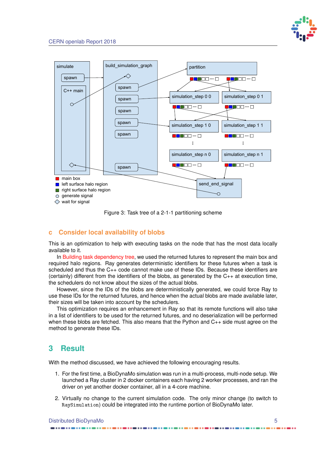

<span id="page-8-2"></span>

Figure 3: Task tree of a 2-1-1 partitioning scheme

### <span id="page-8-0"></span>**c Consider local availability of blobs**

This is an optimization to help with executing tasks on the node that has the most data locally available to it.

In [Building task dependency tree,](#page-7-0) we used the returned futures to represent the main box and required halo regions. Ray generates deterministic identifiers for these futures when a task is scheduled and thus the C++ code cannot make use of these IDs. Because these identifiers are  $($ certainly) different from the identifiers of the blobs, as generated by the  $C_{++}$  at execution time, the schedulers do not know about the sizes of the actual blobs.

However, since the IDs of the blobs are deterministically generated, we could force Ray to use these IDs for the returned futures, and hence when the actual blobs are made available later, their sizes will be taken into account by the schedulers.

This optimization requires an enhancement in Ray so that its remote functions will also take in a list of identifiers to be used for the returned futures, and no deserialization will be performed when these blobs are fetched. This also means that the Python and C++ side must agree on the method to generate these IDs.

## <span id="page-8-1"></span>**3 Result**

With the method discussed, we have achieved the following encouraging results.

- 1. For the first time, a BioDynaMo simulation was run in a multi-process, multi-node setup. We launched a Ray cluster in 2 docker containers each having 2 worker processes, and ran the driver on yet another docker container, all in a 4-core machine.
- 2. Virtually no change to the current simulation code. The only minor change (to switch to RaySimulation) could be integrated into the runtime portion of BioDynaMo later.

Distributed BioDynaMo 5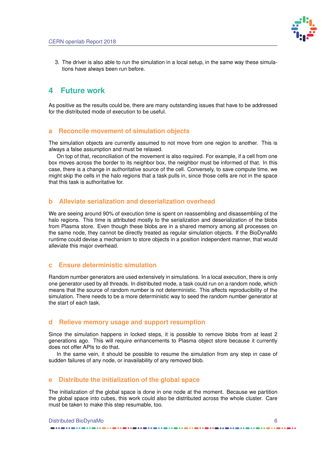

3. The driver is also able to run the simulation in a local setup, in the same way these simulations have always been run before.

### <span id="page-9-0"></span>**4 Future work**

As positive as the results could be, there are many outstanding issues that have to be addressed for the distributed mode of execution to be useful.

### <span id="page-9-1"></span>**a Reconcile movement of simulation objects**

The simulation objects are currently assumed to not move from one region to another. This is always a false assumption and must be relaxed.

On top of that, reconciliation of the movement is also required. For example, if a cell from one box moves across the border to its neighbor box, the neighbor must be informed of that. In this case, there is a change in authoritative source of the cell. Conversely, to save compute time, we might skip the cells in the halo regions that a task pulls in, since those cells are not in the space that this task is authoritative for.

### <span id="page-9-2"></span>**b Alleviate serialization and deserialization overhead**

We are seeing around 90% of execution time is spent on reassembling and disassembling of the halo regions. This time is attributed mostly to the serialization and deserialization of the blobs from Plasma store. Even though these blobs are in a shared memory among all processes on the same node, they cannot be directly treated as regular simulation objects. If the BioDynaMo runtime could devise a mechanism to store objects in a position independent manner, that would alleviate this major overhead.

### <span id="page-9-3"></span>**c Ensure deterministic simulation**

Random number generators are used extensively in simulations. In a local execution, there is only one generator used by all threads. In distributed mode, a task could run on a random node, which means that the source of random number is not deterministic. This affects reproducibility of the simulation. There needs to be a more deterministic way to seed the random number generator at the start of each task.

### <span id="page-9-4"></span>**d Relieve memory usage and support resumption**

Since the simulation happens in locked steps, it is possible to remove blobs from at least 2 generations ago. This will require enhancements to Plasma object store because it currently does not offer APIs to do that.

In the same vein, it should be possible to resume the simulation from any step in case of sudden failures of any node, or inavailability of any removed blob.

### <span id="page-9-5"></span>**e Distribute the initialization of the global space**

The initialization of the global space is done in one node at the moment. Because we partition the global space into cubes, this work could also be distributed across the whole cluster. Care must be taken to make this step resumable, too.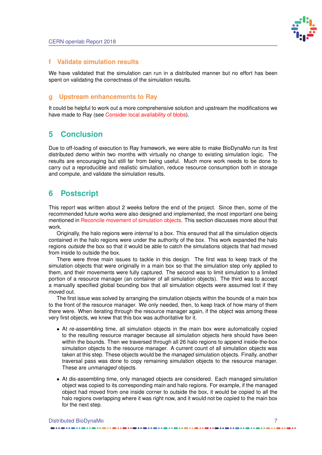

### <span id="page-10-0"></span>**f Validate simulation results**

We have validated that the simulation can run in a distributed manner but no effort has been spent on validating the correctness of the simulation results.

### <span id="page-10-1"></span>**g Upstream enhancements to Ray**

It could be helpful to work out a more comprehensive solution and upstream the modifications we have made to Ray (see [Consider local availability of blobs\)](#page-8-0).

### <span id="page-10-2"></span>**5 Conclusion**

Due to off-loading of execution to Ray framework, we were able to make BioDynaMo run its first distributed demo within two months with virtually no change to existing simulation logic. The results are encouraging but still far from being useful. Much more work needs to be done to carry out a reproducible and realistic simulation, reduce resource consumption both in storage and compute, and validate the simulation results.

### <span id="page-10-3"></span>**6 Postscript**

This report was written about 2 weeks before the end of the project. Since then, some of the recommended future works were also designed and implemented, the most important one being mentioned in [Reconcile movement of simulation objects.](#page-9-1) This section discusses more about that work.

Originally, the halo regions were *internal* to a box. This ensured that all the simulation objects contained in the halo regions were under the authority of the box. This work expanded the halo regions *outside* the box so that it would be able to catch the simulations objects that had moved from inside to outside the box.

There were three main issues to tackle in this design. The first was to keep track of the simulation objects that were originally in a main box so that the simulation step only applied to them, and their movements were fully captured. The second was to limit simulation to a limited portion of a resource manager (an container of all simulation objects). The third was to accept a manually specified global bounding box that all simulation objects were assumed lost if they moved out.

The first issue was solved by arranging the simulation objects within the bounds of a main box to the front of the resource manager. We only needed, then, to keep track of how many of them there were. When iterating through the resource manager again, if the object was among these very first objects, we knew that this box was authoritative for it.

- At re-assembling time, all simulation objects in the main box were automatically copied to the resulting resource manager because all simulation objects here should have been within the bounds. Then we traversed through all 26 halo regions to append inside-the-box simulation objects to the resource manager. A current count of all simulation objects was taken at this step. These objects would be the *managed* simulation objects. Finally, another traversal pass was done to copy remaining simulation objects to the resource manager. These are *unmanaged* objects.
- At dis-assembling time, only managed objects are considered. Each managed simulation object was copied to its corresponding main and halo regions. For example, if the managed object had moved from one inside corner to outside the box, it would be copied to all the halo regions overlapping where it was right now, and it would not be copied to the main box for the next step.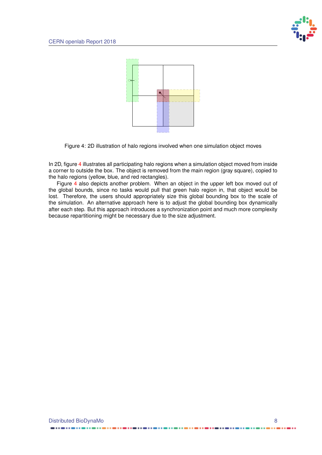

<span id="page-11-0"></span>

Figure 4: 2D illustration of halo regions involved when one simulation object moves

In 2D, figure [4](#page-11-0) illustrates all participating halo regions when a simulation object moved from inside a corner to outside the box. The object is removed from the main region (gray square), copied to the halo regions (yellow, blue, and red rectangles).

Figure [4](#page-11-0) also depicts another problem. When an object in the upper left box moved out of the global bounds, since no tasks would pull that green halo region in, that object would be lost. Therefore, the users should appropriately size this global bounding box to the scale of the simulation. An alternative approach here is to adjust the global bounding box dynamically after each step. But this approach introduces a synchronization point and much more complexity because repartitioning might be necessary due to the size adjustment.